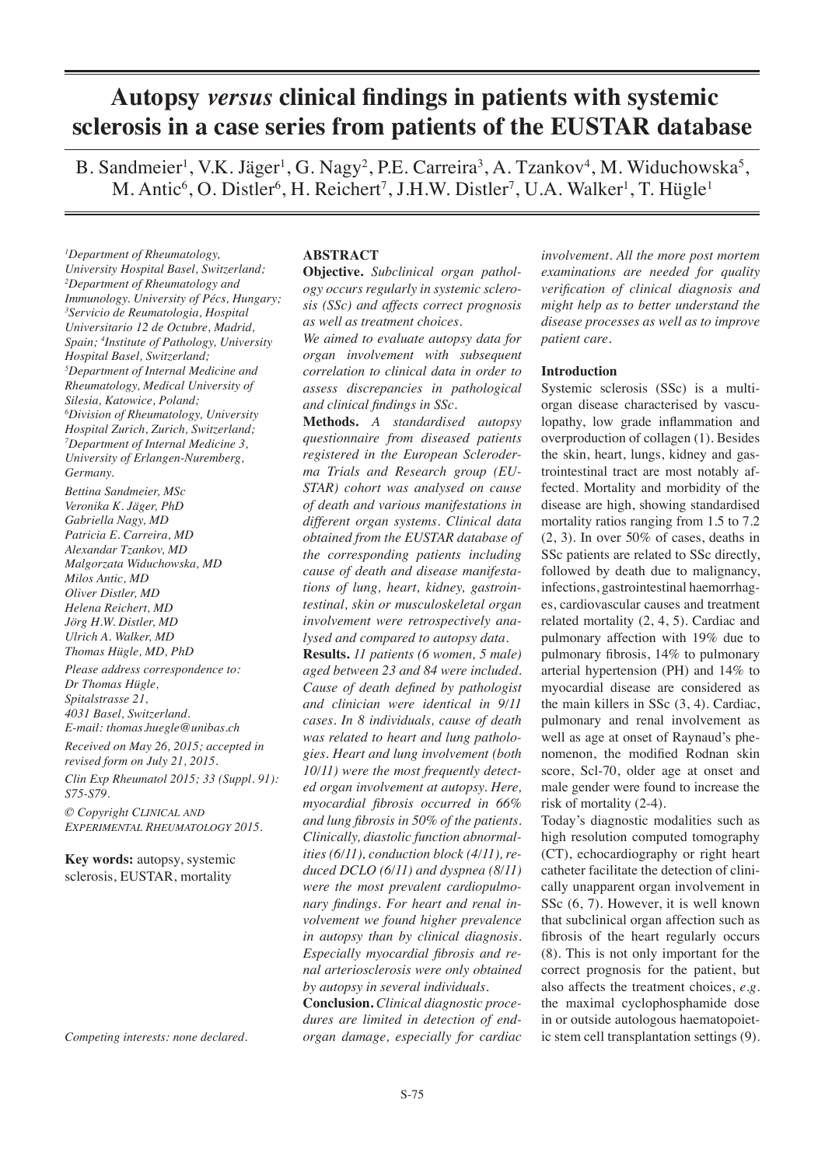# **Autopsy** *versus* **clinical findings in patients with systemic sclerosis in a case series from patients of the EUSTAR database**

B. Sandmeier<sup>1</sup>, V.K. Jäger<sup>1</sup>, G. Nagy<sup>2</sup>, P.E. Carreira<sup>3</sup>, A. Tzankov<sup>4</sup>, M. Widuchowska<sup>5</sup>, M. Antic<sup>6</sup>, O. Distler<sup>6</sup>, H. Reichert<sup>7</sup>, J.H.W. Distler<sup>7</sup>, U.A. Walker<sup>1</sup>, T. Hügle<sup>1</sup>

*1 Department of Rheumatology, University Hospital Basel, Switzerland; 2 Department of Rheumatology and Immunology. University of Pécs, Hungary; 3 Servicio de Reumatologia, Hospital Universitario 12 de Octubre, Madrid, Spain; 4 Institute of Pathology, University Hospital Basel, Switzerland; 5 Department of Internal Medicine and Rheumatology, Medical University of Silesia, Katowice, Poland; 6 Division of Rheumatology, University Hospital Zurich, Zurich, Switzerland; 7 Department of Internal Medicine 3, University of Erlangen-Nuremberg, Germany.*

*Bettina Sandmeier, MSc Veronika K. Jäger, PhD Gabriella Nagy, MD Patricia E. Carreira, MD Alexandar Tzankov, MD Malgorzata Widuchowska, MD Milos Antic, MD Oliver Distler, MD Helena Reichert, MD Jörg H.W. Distler, MD Ulrich A. Walker, MD Thomas Hügle, MD, PhD*

*Please address correspondence to: Dr Thomas Hügle, Spitalstrasse 21, 4031 Basel, Switzerland. E-mail: thomas.huegle@unibas.ch*

*Received on May 26, 2015; accepted in revised form on July 21, 2015.*

*Clin Exp Rheumatol 2015; 33 (Suppl. 91): S75-S79.*

*© Copyright Clinical and Experimental Rheumatology 2015.*

**Key words:** autopsy, systemic sclerosis, EUSTAR, mortality

*Competing interests: none declared.*

## **ABSTRACT**

**Objective.** *Subclinical organ pathology occurs regularly in systemic sclerosis (SSc) and affects correct prognosis as well as treatment choices.*

*We aimed to evaluate autopsy data for organ involvement with subsequent correlation to clinical data in order to assess discrepancies in pathological and clinical findings in SSc.*

**Methods.** *A standardised autopsy questionnaire from diseased patients registered in the European Scleroderma Trials and Research group (EU-STAR) cohort was analysed on cause of death and various manifestations in different organ systems. Clinical data obtained from the EUSTAR database of the corresponding patients including cause of death and disease manifestations of lung, heart, kidney, gastrointestinal, skin or musculoskeletal organ involvement were retrospectively analysed and compared to autopsy data.*

**Results.** *11 patients (6 women, 5 male) aged between 23 and 84 were included. Cause of death defined by pathologist and clinician were identical in 9/11 cases. In 8 individuals, cause of death was related to heart and lung pathologies. Heart and lung involvement (both 10/11) were the most frequently detected organ involvement at autopsy. Here, myocardial fibrosis occurred in 66% and lung fibrosis in 50% of the patients. Clinically, diastolic function abnormalities (6/11), conduction block (4/11), reduced DCLO (6/11) and dyspnea (8/11) were the most prevalent cardiopulmonary findings. For heart and renal involvement we found higher prevalence in autopsy than by clinical diagnosis. Especially myocardial fibrosis and renal arteriosclerosis were only obtained by autopsy in several individuals.* 

**Conclusion.** *Clinical diagnostic procedures are limited in detection of endorgan damage, especially for cardiac* 

*involvement. All the more post mortem examinations are needed for quality verification of clinical diagnosis and might help as to better understand the disease processes as well as to improve patient care.*

## **Introduction**

Systemic sclerosis (SSc) is a multiorgan disease characterised by vasculopathy, low grade inflammation and overproduction of collagen (1). Besides the skin, heart, lungs, kidney and gastrointestinal tract are most notably affected. Mortality and morbidity of the disease are high, showing standardised mortality ratios ranging from 1.5 to 7.2 (2, 3). In over 50% of cases, deaths in SSc patients are related to SSc directly, followed by death due to malignancy, infections, gastrointestinal haemorrhages, cardiovascular causes and treatment related mortality (2, 4, 5). Cardiac and pulmonary affection with 19% due to pulmonary fibrosis, 14% to pulmonary arterial hypertension (PH) and 14% to myocardial disease are considered as the main killers in SSc (3, 4). Cardiac, pulmonary and renal involvement as well as age at onset of Raynaud's phenomenon, the modified Rodnan skin score, Scl-70, older age at onset and male gender were found to increase the risk of mortality (2-4).

Today's diagnostic modalities such as high resolution computed tomography (CT), echocardiography or right heart catheter facilitate the detection of clinically unapparent organ involvement in SSc (6, 7). However, it is well known that subclinical organ affection such as fibrosis of the heart regularly occurs (8). This is not only important for the correct prognosis for the patient, but also affects the treatment choices, *e.g.*  the maximal cyclophosphamide dose in or outside autologous haematopoietic stem cell transplantation settings (9).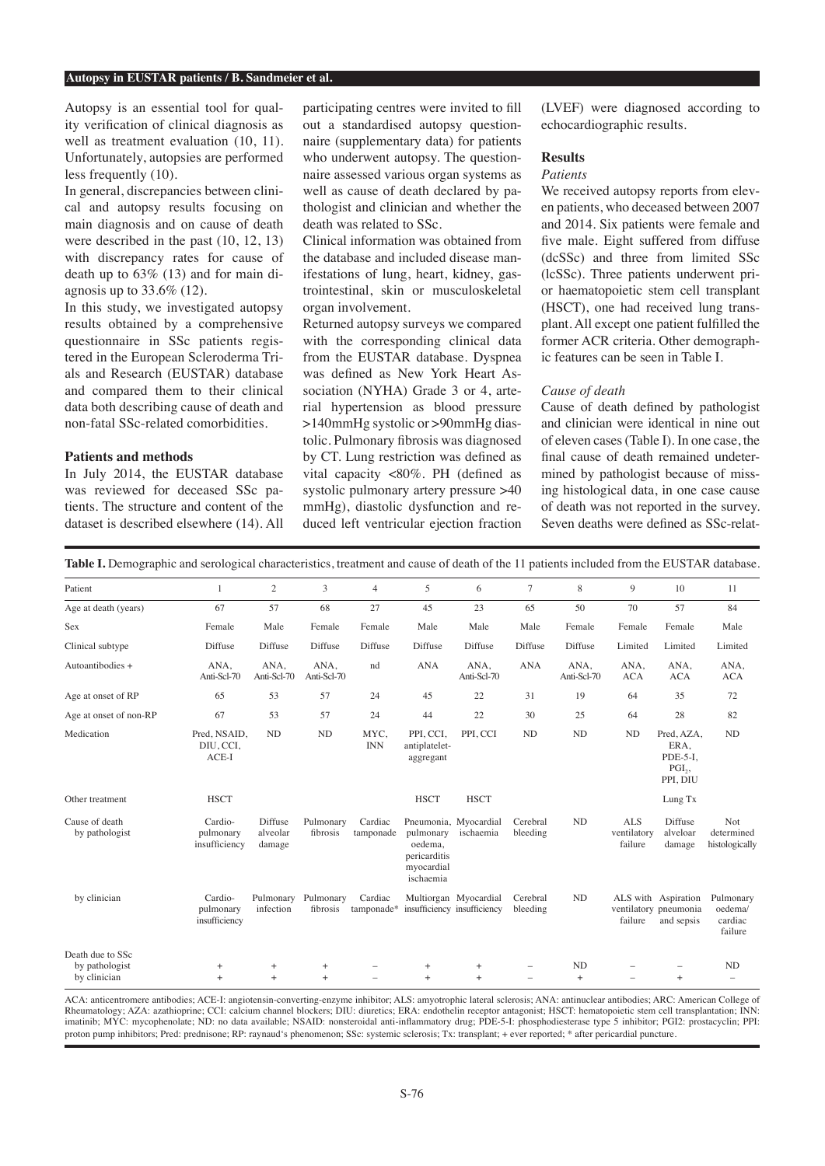#### **Autopsy in EUSTAR patients / B. Sandmeier et al.**

Autopsy is an essential tool for quality verification of clinical diagnosis as well as treatment evaluation (10, 11). Unfortunately, autopsies are performed less frequently (10).

In general, discrepancies between clinical and autopsy results focusing on main diagnosis and on cause of death were described in the past (10, 12, 13) with discrepancy rates for cause of death up to 63% (13) and for main diagnosis up to 33.6% (12).

In this study, we investigated autopsy results obtained by a comprehensive questionnaire in SSc patients registered in the European Scleroderma Trials and Research (EUSTAR) database and compared them to their clinical data both describing cause of death and non-fatal SSc-related comorbidities.

## **Patients and methods**

In July 2014, the EUSTAR database was reviewed for deceased SSc patients. The structure and content of the dataset is described elsewhere (14). All participating centres were invited to fill out a standardised autopsy questionnaire (supplementary data) for patients who underwent autopsy. The questionnaire assessed various organ systems as well as cause of death declared by pathologist and clinician and whether the death was related to SSc.

Clinical information was obtained from the database and included disease manifestations of lung, heart, kidney, gastrointestinal, skin or musculoskeletal organ involvement.

Returned autopsy surveys we compared with the corresponding clinical data from the EUSTAR database. Dyspnea was defined as New York Heart Association (NYHA) Grade 3 or 4, arterial hypertension as blood pressure >140mmHg systolic or >90mmHg diastolic. Pulmonary fibrosis was diagnosed by CT. Lung restriction was defined as vital capacity <80%. PH (defined as systolic pulmonary artery pressure >40 mmHg), diastolic dysfunction and reduced left ventricular ejection fraction

(LVEF) were diagnosed according to echocardiographic results.

#### **Results**

### *Patients*

We received autopsy reports from eleven patients, who deceased between 2007 and 2014. Six patients were female and five male. Eight suffered from diffuse (dcSSc) and three from limited SSc (lcSSc). Three patients underwent prior haematopoietic stem cell transplant (HSCT), one had received lung transplant. All except one patient fulfilled the former ACR criteria. Other demographic features can be seen in Table I.

## *Cause of death*

Cause of death defined by pathologist and clinician were identical in nine out of eleven cases (Table I). In one case, the final cause of death remained undetermined by pathologist because of missing histological data, in one case cause of death was not reported in the survey. Seven deaths were defined as SSc-relat-

**Table I.** Demographic and serological characteristics, treatment and cause of death of the 11 patients included from the EUSTAR database.

| Patient                          | 1                                     | 2                             | 3                     | $\overline{4}$        | 5                                                               | 6                                  | $\overline{7}$           | 8                   | 9                                    | 10                                                               | 11                                         |
|----------------------------------|---------------------------------------|-------------------------------|-----------------------|-----------------------|-----------------------------------------------------------------|------------------------------------|--------------------------|---------------------|--------------------------------------|------------------------------------------------------------------|--------------------------------------------|
| Age at death (years)             | 67                                    | 57                            | 68                    | 27                    | 45                                                              | 23                                 | 65                       | 50                  | 70                                   | 57                                                               | 84                                         |
| Sex                              | Female                                | Male                          | Female                | Female                | Male                                                            | Male                               | Male                     | Female              | Female                               | Female                                                           | Male                                       |
| Clinical subtype                 | Diffuse                               | Diffuse                       | Diffuse               | Diffuse               | Diffuse                                                         | Diffuse                            | Diffuse                  | Diffuse             | Limited                              | Limited                                                          | Limited                                    |
| Autoantibodies +                 | ANA,<br>Anti-Scl-70                   | ANA,<br>Anti-Scl-70           | ANA,<br>Anti-Scl-70   | nd                    | <b>ANA</b>                                                      | ANA,<br>Anti-Scl-70                | <b>ANA</b>               | ANA,<br>Anti-Scl-70 | ANA,<br><b>ACA</b>                   | ANA,<br><b>ACA</b>                                               | ANA,<br><b>ACA</b>                         |
| Age at onset of RP               | 65                                    | 53                            | 57                    | 24                    | 45                                                              | 22                                 | 31                       | 19                  | 64                                   | 35                                                               | 72                                         |
| Age at onset of non-RP           | 67                                    | 53                            | 57                    | 24                    | 44                                                              | 22                                 | 30                       | 25                  | 64                                   | 28                                                               | 82                                         |
| Medication                       | Pred, NSAID,<br>DIU, CCI,<br>$ACE-I$  | ND                            | ND                    | MYC.<br><b>INN</b>    | PPI, CCI,<br>antiplatelet-<br>aggregant                         | PPI. CCI                           | N <sub>D</sub>           | ND                  | ND                                   | Pred, AZA,<br>ERA,<br>PDE-5-I,<br>PGI <sub>2</sub> ,<br>PPI, DIU | <b>ND</b>                                  |
| Other treatment                  | <b>HSCT</b>                           |                               |                       |                       | <b>HSCT</b>                                                     | <b>HSCT</b>                        |                          |                     |                                      | Lung Tx                                                          |                                            |
| Cause of death<br>by pathologist | Cardio-<br>pulmonary<br>insufficiency | Diffuse<br>alveolar<br>damage | Pulmonary<br>fibrosis | Cardiac<br>tamponade  | pulmonary<br>oedema,<br>pericarditis<br>myocardial<br>ischaemia | Pneumonia, Myocardial<br>ischaemia | Cerebral<br>bleeding     | ND                  | <b>ALS</b><br>ventilatory<br>failure | Diffuse<br>alveloar<br>damage                                    | Not<br>determined<br>histologically        |
| by clinician                     | Cardio-<br>pulmonary<br>insufficiency | Pulmonary<br>infection        | Pulmonary<br>fibrosis | Cardiac<br>tamponade* | insufficiency insufficiency                                     | Multiorgan Myocardial              | Cerebral<br>bleeding     | ND                  | failure                              | ALS with Aspiration<br>ventilatory pneumonia<br>and sepsis       | Pulmonary<br>oedema/<br>cardiac<br>failure |
| Death due to SSc                 |                                       |                               |                       |                       |                                                                 |                                    |                          |                     |                                      |                                                                  |                                            |
| by pathologist                   | $+$                                   | $+$                           | $+$                   |                       | $+$                                                             | $+$                                | ÷,                       | ND                  |                                      |                                                                  | <b>ND</b>                                  |
| by clinician                     | $+$                                   | $+$                           | $+$                   |                       | $+$                                                             | $+$                                | $\overline{\phantom{0}}$ | $+$                 | $\overline{\phantom{0}}$             | $+$                                                              | $\qquad \qquad -$                          |

ACA: anticentromere antibodies; ACE-I: angiotensin-converting-enzyme inhibitor; ALS: amyotrophic lateral sclerosis; ANA: antinuclear antibodies; ARC: American College of Rheumatology; AZA: azathioprine; CCI: calcium channel blockers; DIU: diuretics; ERA: endothelin receptor antagonist; HSCT: hematopoietic stem cell transplantation; INN: imatinib; MYC: mycophenolate; ND: no data available; NSAID: nonsteroidal anti-inflammatory drug; PDE-5-I: phosphodiesterase type 5 inhibitor; PGI2: prostacyclin; PPI: proton pump inhibitors; Pred: prednisone; RP: raynaud's phenomenon; SSc: systemic sclerosis; Tx: transplant; + ever reported; \* after pericardial puncture.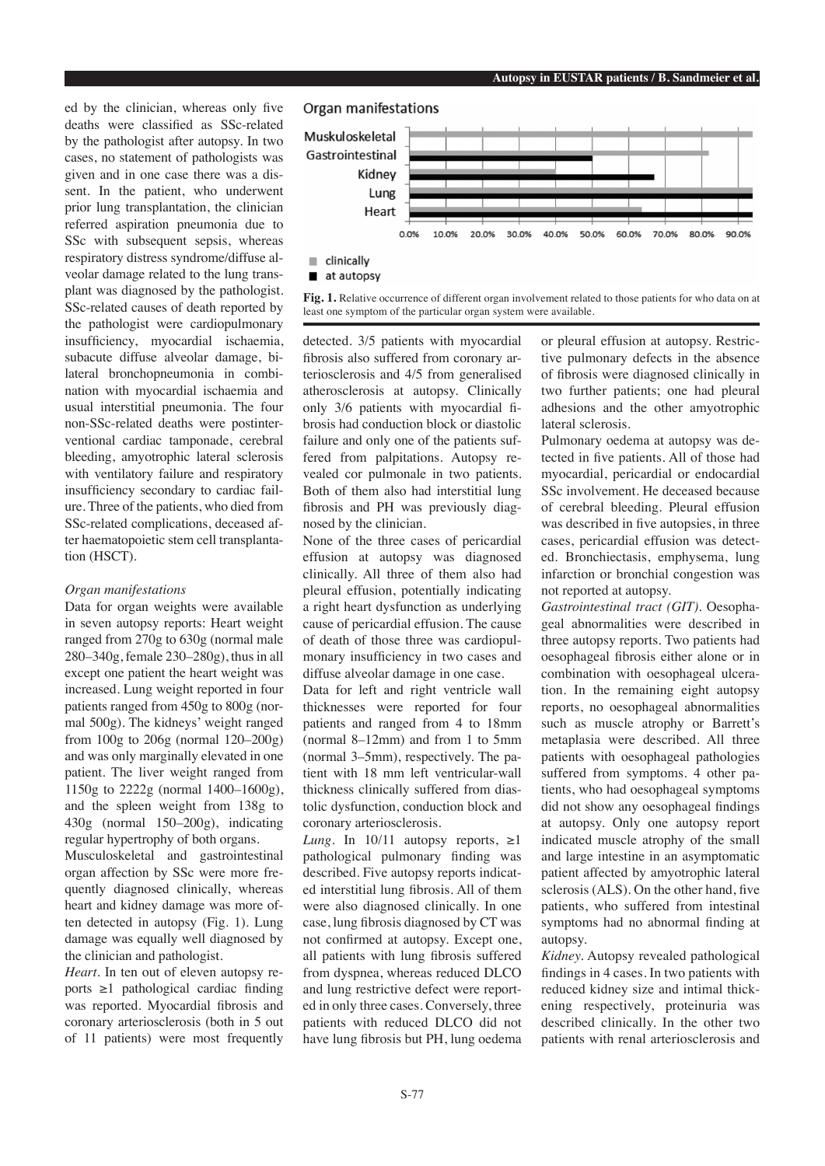ed by the clinician, whereas only five deaths were classified as SSc-related by the pathologist after autopsy. In two cases, no statement of pathologists was given and in one case there was a dissent. In the patient, who underwent prior lung transplantation, the clinician referred aspiration pneumonia due to SSc with subsequent sepsis, whereas respiratory distress syndrome/diffuse alveolar damage related to the lung transplant was diagnosed by the pathologist. SSc-related causes of death reported by the pathologist were cardiopulmonary insufficiency, myocardial ischaemia, subacute diffuse alveolar damage, bilateral bronchopneumonia in combination with myocardial ischaemia and usual interstitial pneumonia. The four non-SSc-related deaths were postinterventional cardiac tamponade, cerebral bleeding, amyotrophic lateral sclerosis with ventilatory failure and respiratory insufficiency secondary to cardiac failure. Three of the patients, who died from SSc-related complications, deceased after haematopoietic stem cell transplantation (HSCT).

## *Organ manifestations*

Data for organ weights were available in seven autopsy reports: Heart weight ranged from 270g to 630g (normal male 280–340g, female 230–280g), thus in all except one patient the heart weight was increased. Lung weight reported in four patients ranged from 450g to 800g (normal 500g). The kidneys' weight ranged from 100g to 206g (normal 120–200g) and was only marginally elevated in one patient. The liver weight ranged from 1150g to 2222g (normal 1400–1600g), and the spleen weight from 138g to 430g (normal 150–200g), indicating regular hypertrophy of both organs. Musculoskeletal and gastrointestinal organ affection by SSc were more frequently diagnosed clinically, whereas heart and kidney damage was more often detected in autopsy (Fig. 1). Lung damage was equally well diagnosed by

the clinician and pathologist. *Heart*. In ten out of eleven autopsy reports ≥1 pathological cardiac finding was reported. Myocardial fibrosis and coronary arteriosclerosis (both in 5 out of 11 patients) were most frequently

## Organ manifestations



Fig. 1. Relative occurrence of different organ involvement related to those patients for who data on at least one symptom of the particular organ system were available.

detected. 3/5 patients with myocardial fibrosis also suffered from coronary arteriosclerosis and 4/5 from generalised atherosclerosis at autopsy. Clinically only 3/6 patients with myocardial fibrosis had conduction block or diastolic failure and only one of the patients suffered from palpitations. Autopsy revealed cor pulmonale in two patients. Both of them also had interstitial lung fibrosis and PH was previously diagnosed by the clinician.

None of the three cases of pericardial effusion at autopsy was diagnosed clinically. All three of them also had pleural effusion, potentially indicating a right heart dysfunction as underlying cause of pericardial effusion. The cause of death of those three was cardiopulmonary insufficiency in two cases and diffuse alveolar damage in one case.

Data for left and right ventricle wall thicknesses were reported for four patients and ranged from 4 to 18mm (normal 8–12mm) and from 1 to 5mm (normal 3–5mm), respectively. The patient with 18 mm left ventricular-wall thickness clinically suffered from diastolic dysfunction, conduction block and coronary arteriosclerosis.

*Lung*. In 10/11 autopsy reports,  $\geq 1$ pathological pulmonary finding was described. Five autopsy reports indicated interstitial lung fibrosis. All of them were also diagnosed clinically. In one case, lung fibrosis diagnosed by CT was not confirmed at autopsy. Except one, all patients with lung fibrosis suffered from dyspnea, whereas reduced DLCO and lung restrictive defect were reported in only three cases. Conversely, three patients with reduced DLCO did not have lung fibrosis but PH, lung oedema or pleural effusion at autopsy. Restrictive pulmonary defects in the absence of fibrosis were diagnosed clinically in two further patients; one had pleural adhesions and the other amyotrophic lateral sclerosis.

Pulmonary oedema at autopsy was detected in five patients. All of those had myocardial, pericardial or endocardial SSc involvement. He deceased because of cerebral bleeding. Pleural effusion was described in five autopsies, in three cases, pericardial effusion was detected. Bronchiectasis, emphysema, lung infarction or bronchial congestion was not reported at autopsy.

*Gastrointestinal tract (GIT).* Oesophageal abnormalities were described in three autopsy reports. Two patients had oesophageal fibrosis either alone or in combination with oesophageal ulceration. In the remaining eight autopsy reports, no oesophageal abnormalities such as muscle atrophy or Barrett's metaplasia were described. All three patients with oesophageal pathologies suffered from symptoms. 4 other patients, who had oesophageal symptoms did not show any oesophageal findings at autopsy. Only one autopsy report indicated muscle atrophy of the small and large intestine in an asymptomatic patient affected by amyotrophic lateral sclerosis (ALS). On the other hand, five patients, who suffered from intestinal symptoms had no abnormal finding at autopsy.

*Kidney.* Autopsy revealed pathological findings in 4 cases. In two patients with reduced kidney size and intimal thickening respectively, proteinuria was described clinically. In the other two patients with renal arteriosclerosis and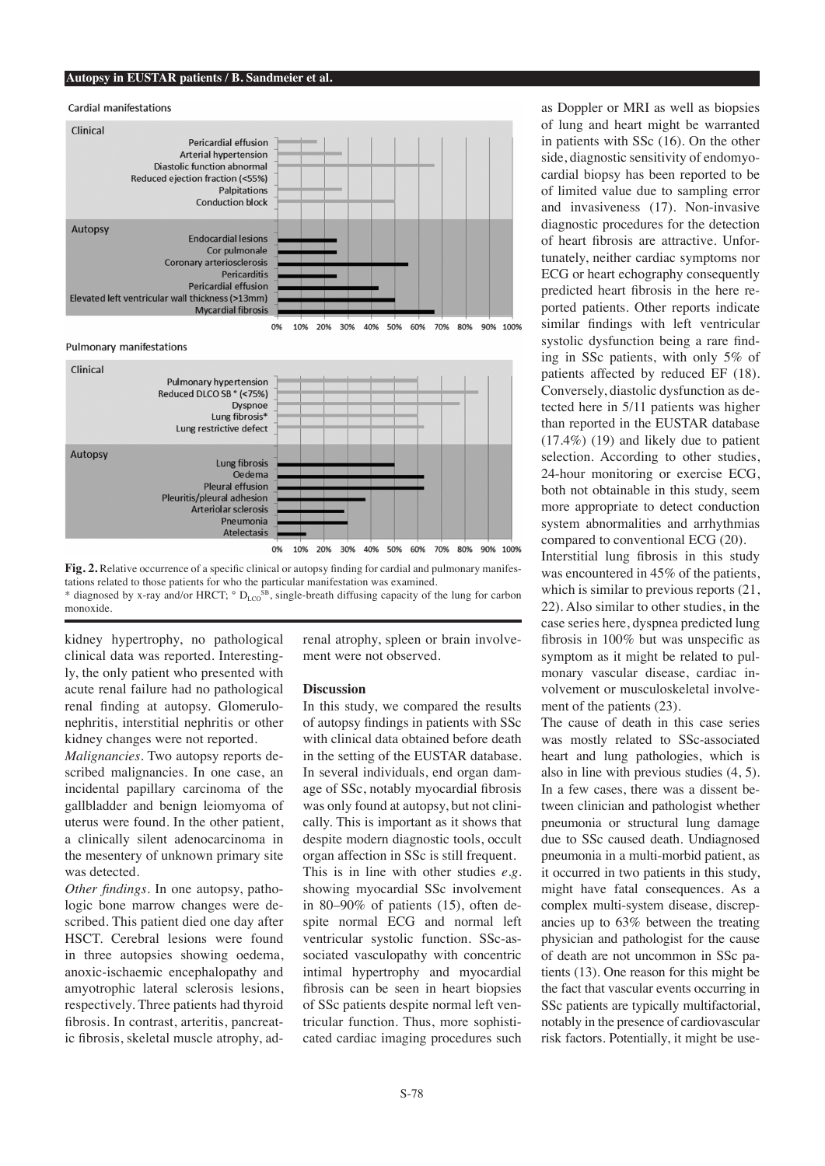#### **Autopsy in EUSTAR patients / B. Sandmeier et al.**



Pulmonary manifestations





kidney hypertrophy, no pathological clinical data was reported. Interestingly, the only patient who presented with acute renal failure had no pathological renal finding at autopsy. Glomerulonephritis, interstitial nephritis or other kidney changes were not reported.

*Malignancies.* Two autopsy reports described malignancies. In one case, an incidental papillary carcinoma of the gallbladder and benign leiomyoma of uterus were found. In the other patient, a clinically silent adenocarcinoma in the mesentery of unknown primary site was detected.

*Other findings.* In one autopsy, pathologic bone marrow changes were described. This patient died one day after HSCT. Cerebral lesions were found in three autopsies showing oedema, anoxic-ischaemic encephalopathy and amyotrophic lateral sclerosis lesions, respectively. Three patients had thyroid fibrosis. In contrast, arteritis, pancreatic fibrosis, skeletal muscle atrophy, adrenal atrophy, spleen or brain involvement were not observed.

## **Discussion**

In this study, we compared the results of autopsy findings in patients with SSc with clinical data obtained before death in the setting of the EUSTAR database. In several individuals, end organ damage of SSc, notably myocardial fibrosis was only found at autopsy, but not clinically. This is important as it shows that despite modern diagnostic tools, occult organ affection in SSc is still frequent.

This is in line with other studies *e.g.* showing myocardial SSc involvement in 80–90% of patients (15), often despite normal ECG and normal left ventricular systolic function. SSc-associated vasculopathy with concentric intimal hypertrophy and myocardial fibrosis can be seen in heart biopsies of SSc patients despite normal left ventricular function. Thus, more sophisticated cardiac imaging procedures such

as Doppler or MRI as well as biopsies of lung and heart might be warranted in patients with SSc (16). On the other side, diagnostic sensitivity of endomyocardial biopsy has been reported to be of limited value due to sampling error and invasiveness (17). Non-invasive diagnostic procedures for the detection of heart fibrosis are attractive. Unfortunately, neither cardiac symptoms nor ECG or heart echography consequently predicted heart fibrosis in the here reported patients. Other reports indicate similar findings with left ventricular systolic dysfunction being a rare finding in SSc patients, with only 5% of patients affected by reduced EF (18). Conversely, diastolic dysfunction as detected here in 5/11 patients was higher than reported in the EUSTAR database (17.4%) (19) and likely due to patient selection. According to other studies, 24-hour monitoring or exercise ECG, both not obtainable in this study, seem more appropriate to detect conduction system abnormalities and arrhythmias compared to conventional ECG (20).

Interstitial lung fibrosis in this study was encountered in 45% of the patients, which is similar to previous reports (21, 22). Also similar to other studies, in the case series here, dyspnea predicted lung fibrosis in 100% but was unspecific as symptom as it might be related to pulmonary vascular disease, cardiac involvement or musculoskeletal involvement of the patients (23).

The cause of death in this case series was mostly related to SSc-associated heart and lung pathologies, which is also in line with previous studies (4, 5). In a few cases, there was a dissent between clinician and pathologist whether pneumonia or structural lung damage due to SSc caused death. Undiagnosed pneumonia in a multi-morbid patient, as it occurred in two patients in this study, might have fatal consequences. As a complex multi-system disease, discrepancies up to 63% between the treating physician and pathologist for the cause of death are not uncommon in SSc patients (13). One reason for this might be the fact that vascular events occurring in SSc patients are typically multifactorial, notably in the presence of cardiovascular risk factors. Potentially, it might be use